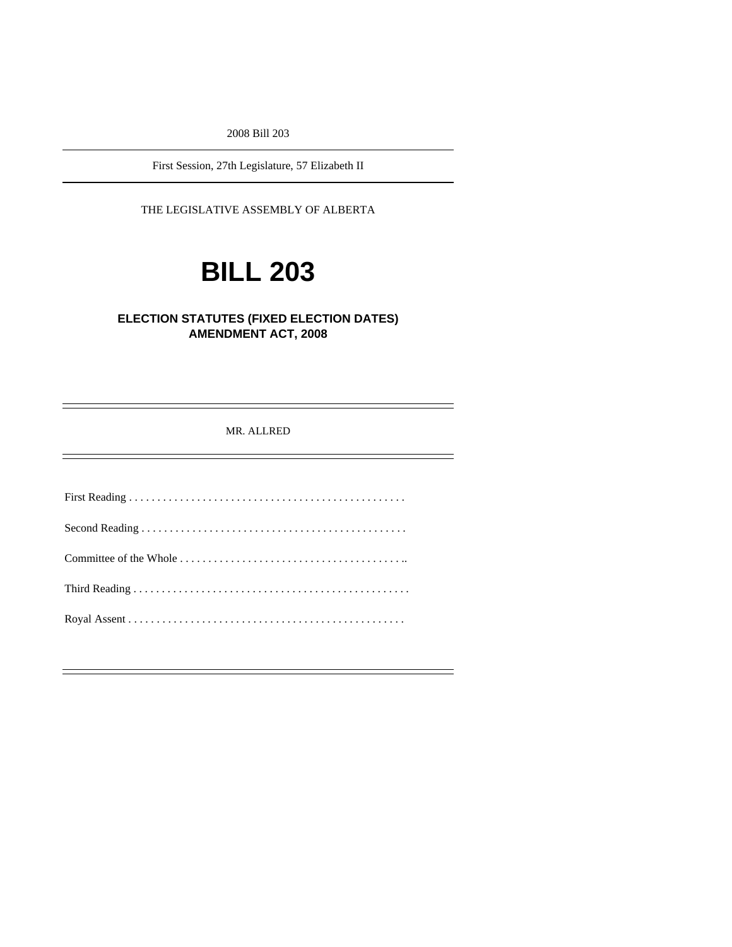2008 Bill 203

First Session, 27th Legislature, 57 Elizabeth II

THE LEGISLATIVE ASSEMBLY OF ALBERTA

# **BILL 203**

# **ELECTION STATUTES (FIXED ELECTION DATES) AMENDMENT ACT, 2008**

MR. ALLRED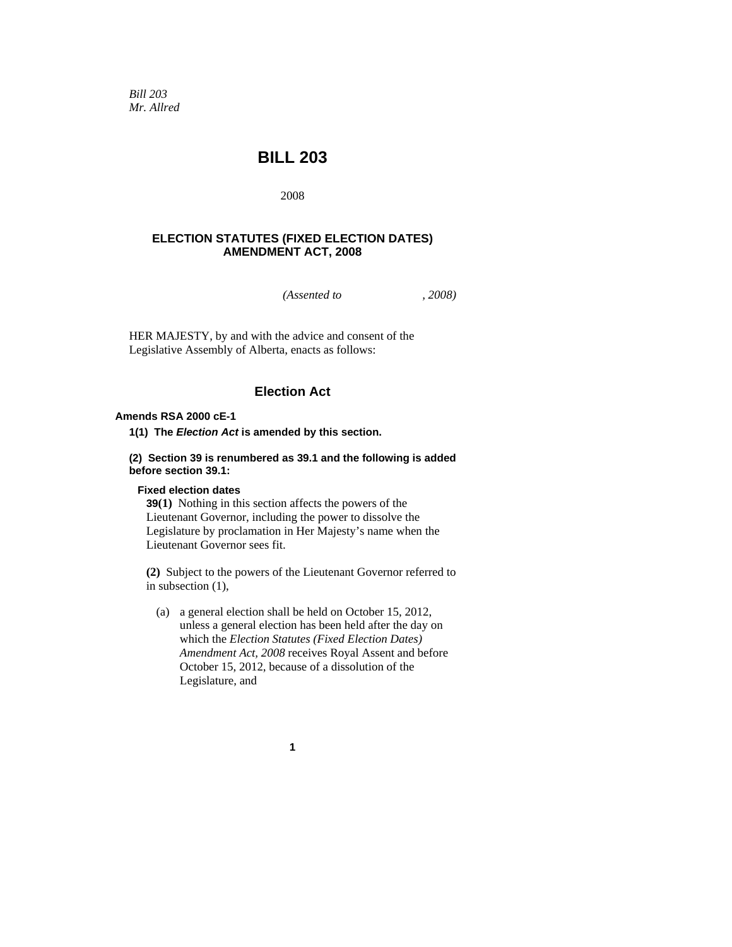*Bill 203 Mr. Allred* 

# **BILL 203**

2008

## **ELECTION STATUTES (FIXED ELECTION DATES) AMENDMENT ACT, 2008**

*(Assented to , 2008)* 

HER MAJESTY, by and with the advice and consent of the Legislative Assembly of Alberta, enacts as follows:

# **Election Act**

#### **Amends RSA 2000 cE-1**

**1(1) The** *Election Act* **is amended by this section.** 

#### **(2) Section 39 is renumbered as 39.1 and the following is added before section 39.1:**

#### **Fixed election dates**

**39(1)** Nothing in this section affects the powers of the Lieutenant Governor, including the power to dissolve the Legislature by proclamation in Her Majesty's name when the Lieutenant Governor sees fit.

**(2)** Subject to the powers of the Lieutenant Governor referred to in subsection (1),

 (a) a general election shall be held on October 15, 2012, unless a general election has been held after the day on which the *Election Statutes (Fixed Election Dates) Amendment Act, 2008* receives Royal Assent and before October 15, 2012, because of a dissolution of the Legislature, and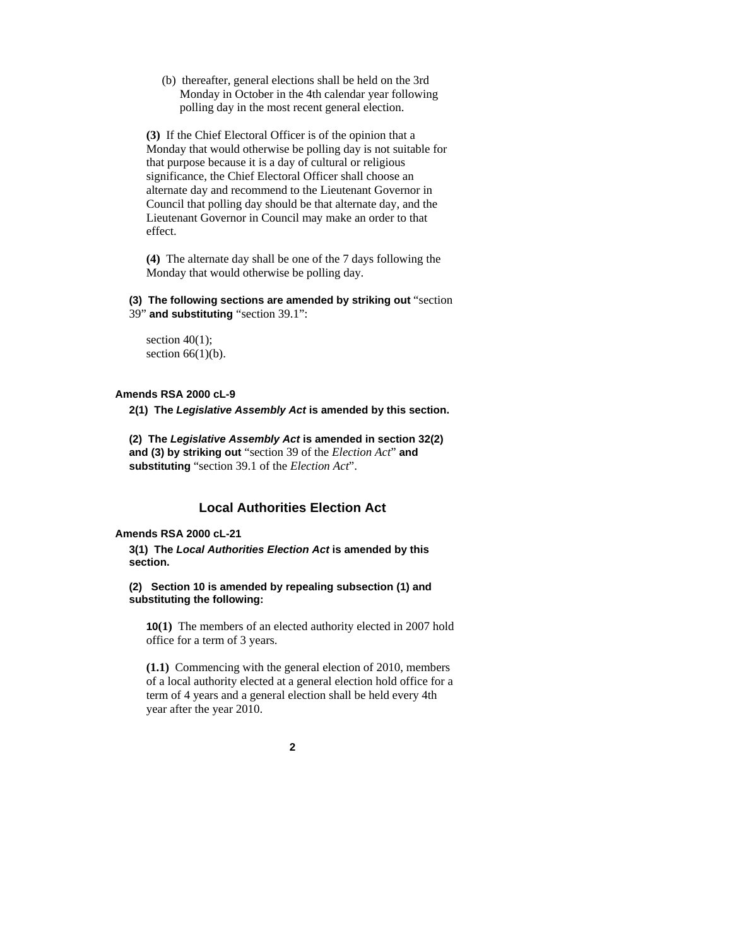(b) thereafter, general elections shall be held on the 3rd Monday in October in the 4th calendar year following polling day in the most recent general election.

**(3)** If the Chief Electoral Officer is of the opinion that a Monday that would otherwise be polling day is not suitable for that purpose because it is a day of cultural or religious significance, the Chief Electoral Officer shall choose an alternate day and recommend to the Lieutenant Governor in Council that polling day should be that alternate day, and the Lieutenant Governor in Council may make an order to that effect.

**(4)** The alternate day shall be one of the 7 days following the Monday that would otherwise be polling day.

**(3) The following sections are amended by striking out** "section 39" **and substituting** "section 39.1":

section  $40(1)$ ; section  $66(1)(b)$ .

#### **Amends RSA 2000 cL-9**

**2(1) The** *Legislative Assembly Act* **is amended by this section.** 

**(2) The** *Legislative Assembly Act* **is amended in section 32(2) and (3) by striking out** "section 39 of the *Election Act*" **and substituting** "section 39.1 of the *Election Act*".

# **Local Authorities Election Act**

#### **Amends RSA 2000 cL-21**

**3(1) The** *Local Authorities Election Act* **is amended by this section.** 

**(2) Section 10 is amended by repealing subsection (1) and substituting the following:** 

**10(1)** The members of an elected authority elected in 2007 hold office for a term of 3 years.

**(1.1)** Commencing with the general election of 2010, members of a local authority elected at a general election hold office for a term of 4 years and a general election shall be held every 4th year after the year 2010.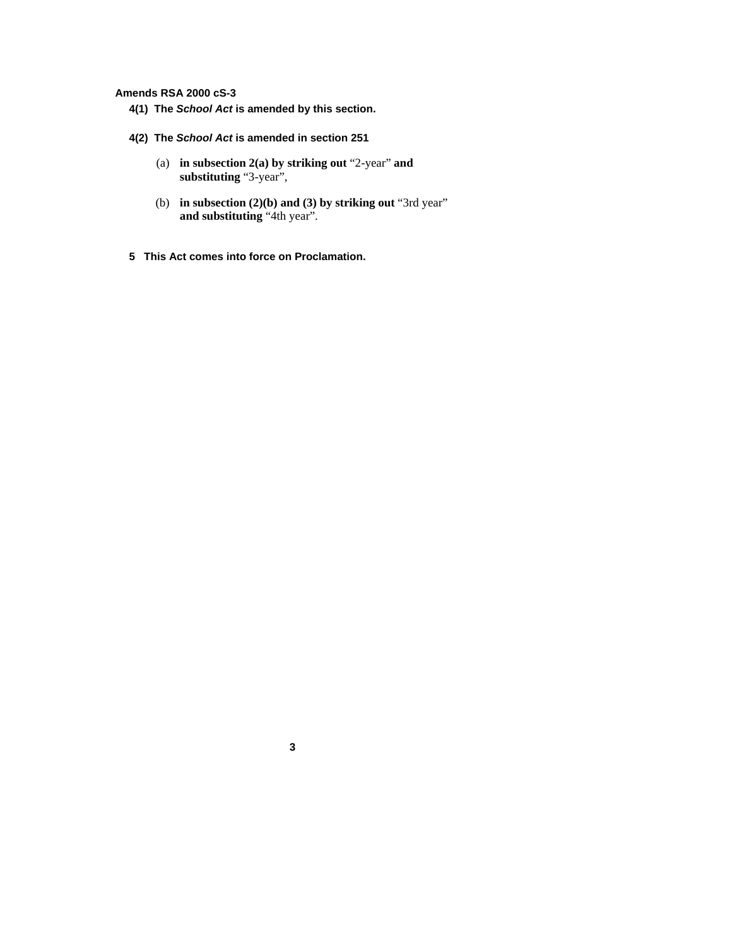### **Amends RSA 2000 cS-3**

- **4(1) The** *School Act* **is amended by this section.**
- **4(2) The** *School Act* **is amended in section 251** 
	- (a) **in subsection 2(a) by striking out** "2-year" **and substituting** "3-year",
	- (b) **in subsection (2)(b) and (3) by striking out** "3rd year" **and substituting** "4th year".
- **5 This Act comes into force on Proclamation.**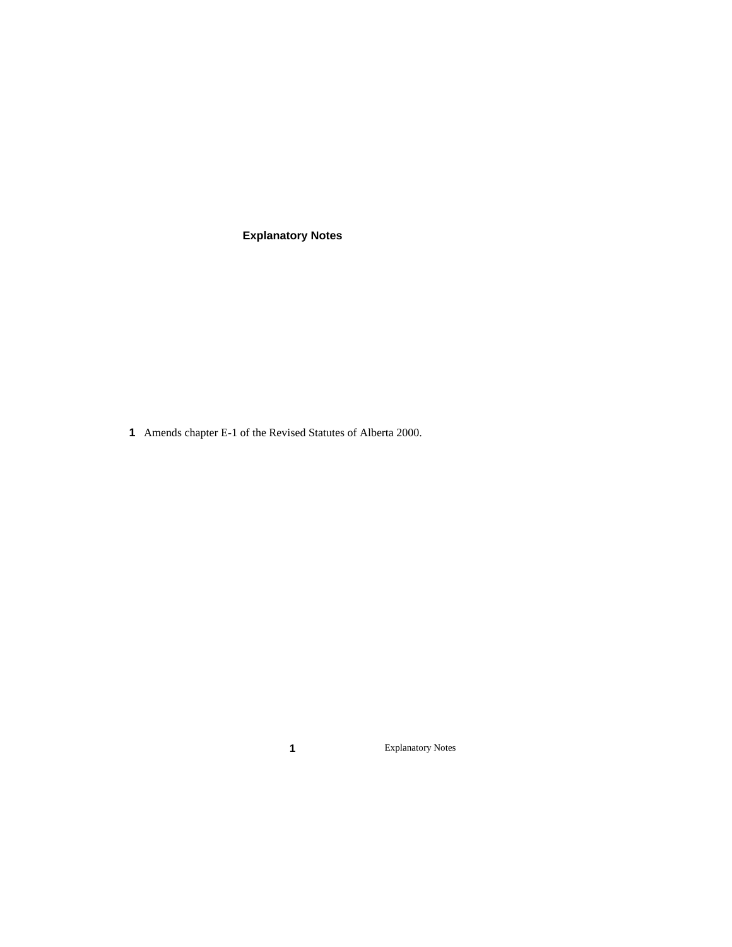**Explanatory Notes** 

Amends chapter E-1 of the Revised Statutes of Alberta 2000.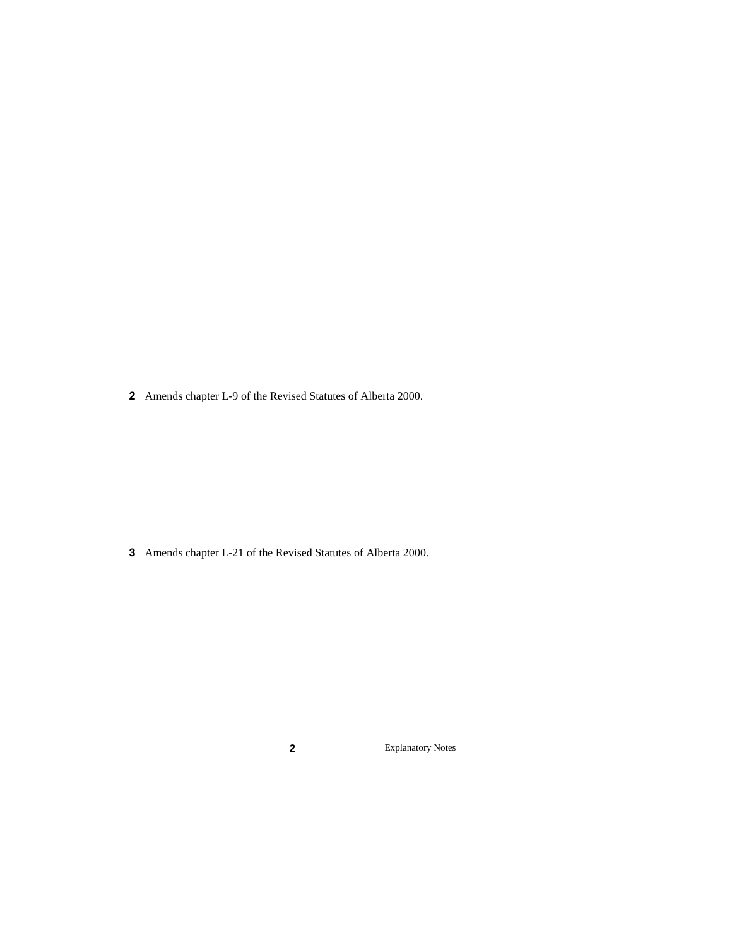Amends chapter L-9 of the Revised Statutes of Alberta 2000.

Amends chapter L-21 of the Revised Statutes of Alberta 2000.